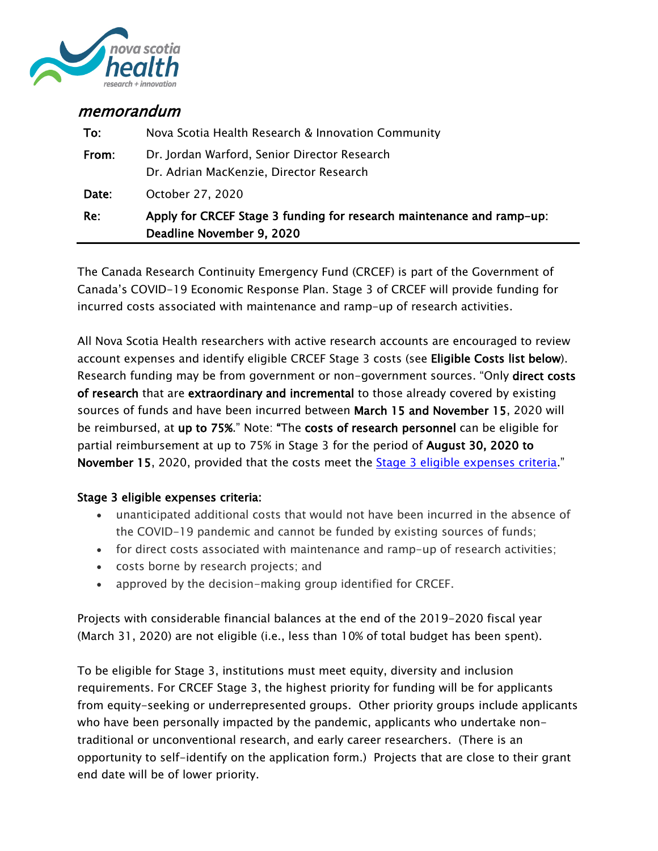

# memorandum

|       | Deadline November 9, 2020                                                               |
|-------|-----------------------------------------------------------------------------------------|
| Re:   | Apply for CRCEF Stage 3 funding for research maintenance and ramp-up:                   |
| Date: | October 27, 2020                                                                        |
| From: | Dr. Jordan Warford, Senior Director Research<br>Dr. Adrian MacKenzie, Director Research |
| To:   | Nova Scotia Health Research & Innovation Community                                      |

The Canada Research Continuity Emergency Fund (CRCEF) is part of the Government of Canada's COVID-19 Economic Response Plan. Stage 3 of CRCEF will provide funding for incurred costs associated with maintenance and ramp-up of research activities.

All Nova Scotia Health researchers with active research accounts are encouraged to review account expenses and identify eligible CRCEF Stage 3 costs (see Eligible Costs list below). Research funding may be from government or non-government sources. "Only direct costs of research that are extraordinary and incremental to those already covered by existing sources of funds and have been incurred between March 15 and November 15, 2020 will be reimbursed, at up to 75%." Note: "The costs of research personnel can be eligible for partial reimbursement at up to 75% in Stage 3 for the period of August 30, 2020 to November 15, 2020, provided that the costs meet the **Stage 3 eligible expenses criteria**."

# Stage 3 eligible expenses criteria:

- unanticipated additional costs that would not have been incurred in the absence of the COVID-19 pandemic and cannot be funded by existing sources of funds;
- for direct costs associated with maintenance and ramp-up of research activities;
- costs borne by research projects; and
- approved by the decision-making group identified for CRCEF.

Projects with considerable financial balances at the end of the 2019-2020 fiscal year (March 31, 2020) are not eligible (i.e., less than 10% of total budget has been spent).

To be eligible for Stage 3, institutions must meet equity, diversity and inclusion requirements. For CRCEF Stage 3, the highest priority for funding will be for applicants from equity-seeking or underrepresented groups. Other priority groups include applicants who have been personally impacted by the pandemic, applicants who undertake nontraditional or unconventional research, and early career researchers. (There is an opportunity to self-identify on the application form.) Projects that are close to their grant end date will be of lower priority.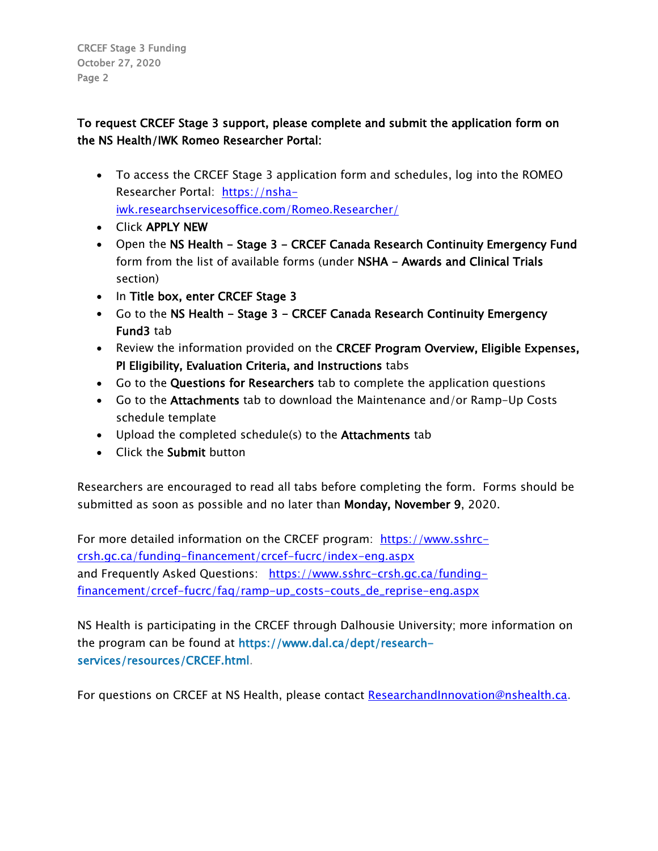CRCEF Stage 3 Funding October 27, 2020 Page 2

# To request CRCEF Stage 3 support, please complete and submit the application form on the NS Health/IWK Romeo Researcher Portal:

- To access the CRCEF Stage 3 application form and schedules, log into the ROMEO Researcher Portal: https://nshaiwk.researchservicesoffice.com/Romeo.Researcher/
- Click APPLY NEW
- Open the NS Health Stage 3 CRCEF Canada Research Continuity Emergency Fund form from the list of available forms (under NSHA - Awards and Clinical Trials section)
- In Title box, enter CRCEF Stage 3
- Go to the NS Health Stage 3 CRCEF Canada Research Continuity Emergency Fund3 tab
- Review the information provided on the CRCEF Program Overview, Eligible Expenses, PI Eligibility, Evaluation Criteria, and Instructions tabs
- Go to the Questions for Researchers tab to complete the application questions
- Go to the Attachments tab to download the Maintenance and/or Ramp-Up Costs schedule template
- Upload the completed schedule(s) to the Attachments tab
- Click the Submit button

Researchers are encouraged to read all tabs before completing the form. Forms should be submitted as soon as possible and no later than Monday, November 9, 2020.

For more detailed information on the CRCEF program: [https://www.sshrc](https://www.sshrc-crsh.gc.ca/funding-financement/crcef-fucrc/index-eng.aspx)[crsh.gc.ca/funding-financement/crcef-fucrc/index-eng.aspx](https://www.sshrc-crsh.gc.ca/funding-financement/crcef-fucrc/index-eng.aspx) and Frequently Asked Questions: [https://www.sshrc-crsh.gc.ca/funding](https://www.sshrc-crsh.gc.ca/funding-financement/crcef-fucrc/faq/ramp-up_costs-couts_de_reprise-eng.aspx)[financement/crcef-fucrc/faq/ramp-up\\_costs-couts\\_de\\_reprise-eng.aspx](https://www.sshrc-crsh.gc.ca/funding-financement/crcef-fucrc/faq/ramp-up_costs-couts_de_reprise-eng.aspx)

NS Health is participating in the CRCEF through Dalhousie University; more information on the program can be found at [https://www.dal.ca/dept/research](https://www.dal.ca/dept/research-services/resources/CRCEF.html)[services/resources/CRCEF.html.](https://www.dal.ca/dept/research-services/resources/CRCEF.html)

For questions on CRCEF at NS Health, please contact [ResearchandInnovation@nshealth.ca.](mailto:ResearchandInnovation@nshealth.ca)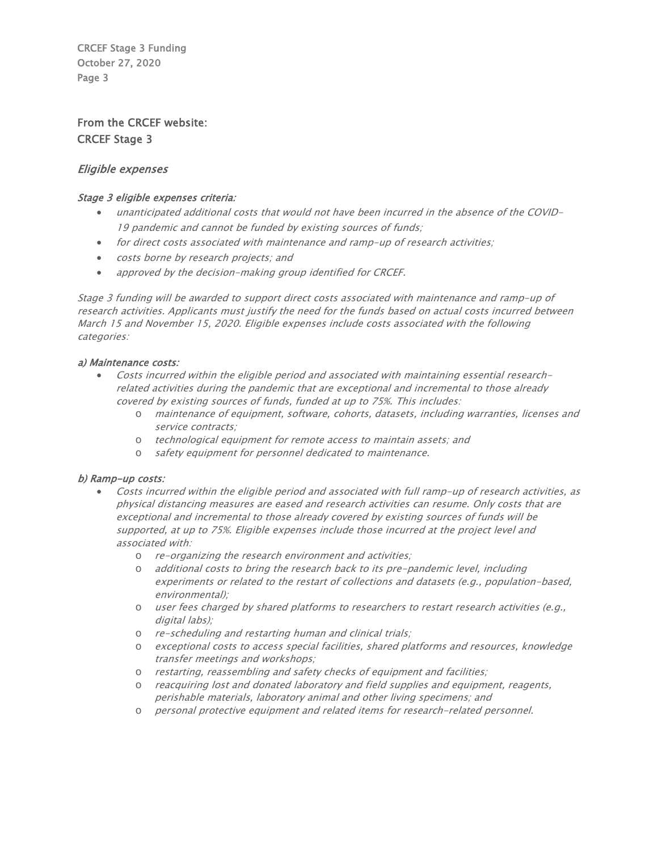CRCEF Stage 3 Funding October 27, 2020 Page 3

# From the CRCEF website: CRCEF Stage 3

## Eligible expenses

#### Stage 3 eligible expenses criteria:

- unanticipated additional costs that would not have been incurred in the absence of the COVID-19 pandemic and cannot be funded by existing sources of funds;
- for direct costs associated with maintenance and ramp-up of research activities;
- costs borne by research projects; and
- approved by the decision-making group identified for CRCEF.

Stage 3 funding will be awarded to support direct costs associated with maintenance and ramp-up of research activities. Applicants must justify the need for the funds based on actual costs incurred between March 15 and November 15, 2020. Eligible expenses include costs associated with the following categories:

#### a) Maintenance costs:

- Costs incurred within the eligible period and associated with maintaining essential researchrelated activities during the pandemic that are exceptional and incremental to those already covered by existing sources of funds, funded at up to 75%. This includes:
	- o maintenance of equipment, software, cohorts, datasets, including warranties, licenses and service contracts;
	- o technological equipment for remote access to maintain assets; and
	- o safety equipment for personnel dedicated to maintenance.

### b) Ramp-up costs:

- Costs incurred within the eligible period and associated with full ramp-up of research activities, as physical distancing measures are eased and research activities can resume. Only costs that are exceptional and incremental to those already covered by existing sources of funds will be supported, at up to 75%. Eligible expenses include those incurred at the project level and associated with:
	- o re-organizing the research environment and activities;
	- o additional costs to bring the research back to its pre-pandemic level, including experiments or related to the restart of collections and datasets (e.g., population-based, environmental);
	- o user fees charged by shared platforms to researchers to restart research activities (e.g., digital labs);
	- o re-scheduling and restarting human and clinical trials;
	- o exceptional costs to access special facilities, shared platforms and resources, knowledge transfer meetings and workshops;
	- o restarting, reassembling and safety checks of equipment and facilities;
	- o reacquiring lost and donated laboratory and field supplies and equipment, reagents, perishable materials, laboratory animal and other living specimens; and
	- o personal protective equipment and related items for research-related personnel.